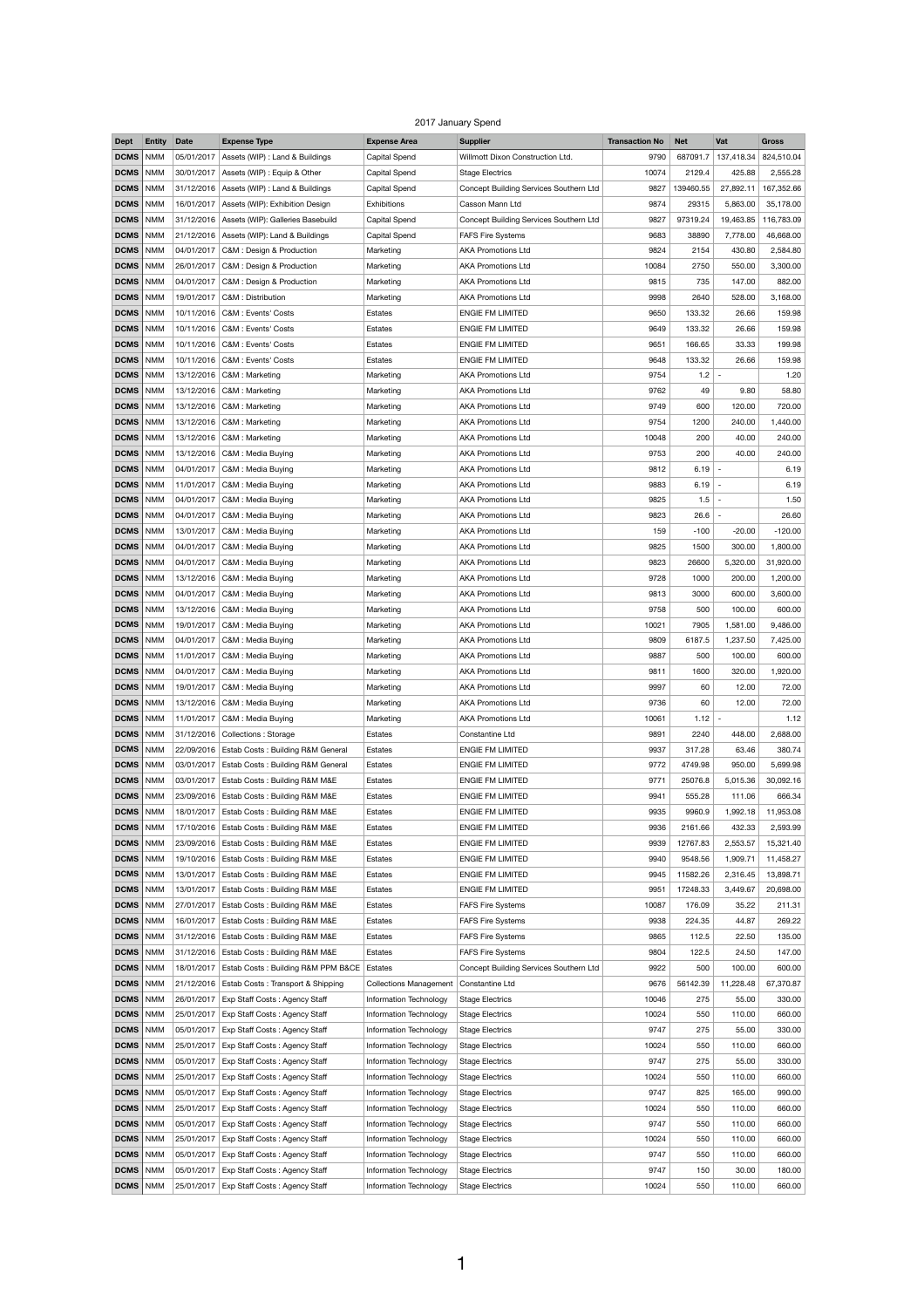## 2017 January Spend

| <b>Dept</b>       | <b>Entity</b> | <b>Date</b> | <b>Expense Type</b>                               | <b>Expense Area</b>           | <b>Supplier</b>                        | <b>Transaction No</b> | <b>Net</b> | Vat        | <b>Gross</b> |
|-------------------|---------------|-------------|---------------------------------------------------|-------------------------------|----------------------------------------|-----------------------|------------|------------|--------------|
| <b>DCMS</b>       | <b>NMM</b>    | 05/01/2017  | Assets (WIP) : Land & Buildings                   | Capital Spend                 | Willmott Dixon Construction Ltd.       | 9790                  | 687091.7   | 137,418.34 | 824,510.04   |
| DCMS              | <b>NMM</b>    |             | 30/01/2017   Assets (WIP) : Equip & Other         | Capital Spend                 | <b>Stage Electrics</b>                 | 10074                 | 2129.4     | 425.88     | 2,555.28     |
| DCMS              | <b>NMM</b>    |             | $31/12/2016$ Assets (WIP) : Land & Buildings      | <b>Capital Spend</b>          | Concept Building Services Southern Ltd | 9827                  | 139460.55  | 27,892.11  | 167,352.66   |
|                   |               |             |                                                   |                               |                                        |                       |            |            |              |
| DCMS              | <b>NMM</b>    |             | 16/01/2017   Assets (WIP): Exhibition Design      | Exhibitions                   | Casson Mann Ltd                        | 9874                  | 29315      | 5,863.00   | 35,178.00    |
| DCMS              | <b>NMM</b>    |             | 31/12/2016   Assets (WIP): Galleries Basebuild    | Capital Spend                 | Concept Building Services Southern Ltd | 9827                  | 97319.24   | 19,463.85  | 116,783.09   |
| DCMS              | <b>NMM</b>    |             | 21/12/2016   Assets (WIP): Land & Buildings       | <b>Capital Spend</b>          | <b>FAFS Fire Systems</b>               | 9683                  | 38890      | 7,778.00   | 46,668.00    |
| DCMS              | <b>NMM</b>    |             | 04/01/2017   C&M : Design & Production            | Marketing                     | <b>AKA Promotions Ltd</b>              | 9824                  | 2154       | 430.80     | 2,584.80     |
| DCMS              | <b>NMM</b>    |             | 26/01/2017   C&M : Design & Production            | Marketing                     | <b>AKA Promotions Ltd</b>              | 10084                 | 2750       | 550.00     | 3,300.00     |
| DCMS              | <b>NMM</b>    |             | 04/01/2017   C&M : Design & Production            | Marketing                     | <b>AKA Promotions Ltd</b>              | 9815                  | 735        | 147.00     | 882.00       |
| DCMS              | <b>NMM</b>    |             | 19/01/2017   C&M : Distribution                   | Marketing                     | <b>AKA Promotions Ltd</b>              | 9998                  | 2640       | 528.00     | 3,168.00     |
| DCMS              | <b>NMM</b>    |             | 10/11/2016   C&M : Events' Costs                  | Estates                       | <b>ENGIE FM LIMITED</b>                | 9650                  | 133.32     | 26.66      | 159.98       |
|                   |               |             |                                                   |                               |                                        |                       |            |            |              |
| DCMS              | <b>NMM</b>    |             | 10/11/2016   C&M : Events' Costs                  | Estates                       | <b>ENGIE FM LIMITED</b>                | 9649                  | 133.32     | 26.66      | 159.98       |
| DCMS              | <b>NMM</b>    |             | 10/11/2016   C&M : Events' Costs                  | Estates                       | <b>ENGIE FM LIMITED</b>                | 9651                  | 166.65     | 33.33      | 199.98       |
| DCMS              | <b>NMM</b>    |             | 10/11/2016   C&M : Events' Costs                  | Estates                       | <b>ENGIE FM LIMITED</b>                | 9648                  | 133.32     | 26.66      | 159.98       |
| <b>DCMS</b>       | <b>NMM</b>    |             | 13/12/2016   C&M : Marketing                      | Marketing                     | <b>AKA Promotions Ltd</b>              | 9754                  | $1.2 -$    |            | 1.20         |
| DCMS              | NMM           |             | 13/12/2016   C&M : Marketing                      | Marketing                     | <b>AKA Promotions Ltd</b>              | 9762                  | 49         | 9.80       | 58.80        |
| DCMS              | <b>NMM</b>    |             | 13/12/2016   C&M : Marketing                      | Marketing                     | <b>AKA Promotions Ltd</b>              | 9749                  | 600        | 120.00     | 720.00       |
| <b>DCMS</b>       | <b>NMM</b>    |             | 13/12/2016   C&M : Marketing                      | Marketing                     | <b>AKA Promotions Ltd</b>              | 9754                  | 1200       | 240.00     | 1,440.00     |
|                   |               |             |                                                   |                               |                                        |                       |            |            |              |
| DCMS              | NMM           |             | 13/12/2016   C&M : Marketing                      | Marketing                     | <b>AKA Promotions Ltd</b>              | 10048                 | 200        | 40.00      | 240.00       |
| DCMS              | <b>NMM</b>    |             | 13/12/2016   C&M : Media Buying                   | Marketing                     | <b>AKA Promotions Ltd</b>              | 9753                  | 200        | 40.00      | 240.00       |
| DCMS              | <b>NMM</b>    |             | 04/01/2017   C&M : Media Buying                   | Marketing                     | <b>AKA Promotions Ltd</b>              | 9812                  | $6.19 -$   |            | 6.19         |
| DCMS   NMM        |               |             | 11/01/2017   C&M : Media Buying                   | Marketing                     | <b>AKA Promotions Ltd</b>              | 9883                  | 6.19       |            | 6.19         |
| DCMS              | NMM           |             | 04/01/2017   C&M : Media Buying                   | Marketing                     | <b>AKA Promotions Ltd</b>              | 9825                  | $1.5 -$    |            | 1.50         |
| <b>DCMS</b>       | <b>NMM</b>    |             | 04/01/2017   C&M : Media Buying                   | Marketing                     | <b>AKA Promotions Ltd</b>              | 9823                  | $26.6$ -   |            | 26.60        |
| DCMS              | NMM           |             | 13/01/2017   C&M : Media Buying                   | Marketing                     | <b>AKA Promotions Ltd</b>              | 159                   | $-100$     | $-20.00$   | $-120.00$    |
|                   |               |             | $04/01/2017$ C&M : Media Buying                   |                               |                                        |                       |            |            |              |
| DCMS              | NMM           |             |                                                   | Marketing                     | <b>AKA Promotions Ltd</b>              | 9825                  | 1500       | 300.00     | 1,800.00     |
| <b>DCMS</b>       | <b>NMM</b>    |             | 04/01/2017   C&M : Media Buying                   | Marketing                     | <b>AKA Promotions Ltd</b>              | 9823                  | 26600      | 5,320.00   | 31,920.00    |
| DCMS              | <b>NMM</b>    |             | 13/12/2016   C&M : Media Buying                   | Marketing                     | <b>AKA Promotions Ltd</b>              | 9728                  | 1000       | 200.00     | 1,200.00     |
| <b>DCMS</b>   NMM |               |             | 04/01/2017   C&M : Media Buying                   | Marketing                     | <b>AKA Promotions Ltd</b>              | 9813                  | 3000       | 600.00     | 3,600.00     |
| DCMS              | <b>NMM</b>    |             | 13/12/2016   C&M : Media Buying                   | Marketing                     | <b>AKA Promotions Ltd</b>              | 9758                  | 500        | 100.00     | 600.00       |
| DCMS              | <b>NMM</b>    | 19/01/2017  | C&M: Media Buying                                 | Marketing                     | <b>AKA Promotions Ltd</b>              | 10021                 | 7905       | 1,581.00   | 9,486.00     |
| DCMS              | NMM           |             | 04/01/2017   C&M : Media Buying                   | Marketing                     | <b>AKA Promotions Ltd</b>              | 9809                  | 6187.5     | 1,237.50   | 7,425.00     |
| DCMS              | NMM           |             | 11/01/2017   C&M : Media Buying                   | Marketing                     | <b>AKA Promotions Ltd</b>              | 9887                  | 500        | 100.00     | 600.00       |
|                   |               |             |                                                   |                               |                                        |                       |            |            |              |
| DCMS              | <b>NMM</b>    | 04/01/2017  | C&M: Media Buying                                 | Marketing                     | <b>AKA Promotions Ltd</b>              | 9811                  | 1600       | 320.00     | 1,920.00     |
| DCMS              | <b>NMM</b>    |             | 19/01/2017   C&M : Media Buying                   | Marketing                     | <b>AKA Promotions Ltd</b>              | 9997                  | 60         | 12.00      | 72.00        |
| DCMS              | NMM           |             | 13/12/2016   C&M : Media Buying                   | Marketing                     | <b>AKA Promotions Ltd</b>              | 9736                  | 60         | 12.00      | 72.00        |
| DCMS              | <b>NMM</b>    | 11/01/2017  | C&M : Media Buying                                | Marketing                     | <b>AKA Promotions Ltd</b>              | 10061                 | $1.12$ -   |            | 1.12         |
| DCMS              | <b>NMM</b>    |             | 31/12/2016 Collections: Storage                   | Estates                       | Constantine Ltd                        | 9891                  | 2240       | 448.00     | 2,688.00     |
| <b>DCMS</b>   NMM |               |             | 22/09/2016   Estab Costs: Building R&M General    | Estates                       | <b>ENGIE FM LIMITED</b>                | 9937                  | 317.28     | 63.46      | 380.74       |
| DCMS              | <b>NMM</b>    | 03/01/2017  | <b>Estab Costs: Building R&amp;M General</b>      | Estates                       | <b>ENGIE FM LIMITED</b>                | 9772                  | 4749.98    | 950.00     | 5,699.98     |
|                   |               |             |                                                   |                               |                                        |                       |            |            |              |
| DCMS              | <b>NMM</b>    | 03/01/2017  | Estab Costs: Building R&M M&E                     | Estates                       | <b>ENGIE FM LIMITED</b>                | 9771                  | 25076.8    | 5,015.36   | 30,092.16    |
| <b>DCMS</b>   NMM |               |             | 23/09/2016   Estab Costs: Building R&M M&E        | Estates                       | <b>ENGIE FM LIMITED</b>                | 9941                  | 555.28     | 111.06     | 666.34       |
| DCMS              | NMM           | 18/01/2017  | Estab Costs: Building R&M M&E                     | Estates                       | <b>ENGIE FM LIMITED</b>                | 9935                  | 9960.9     | 1,992.18   | 11,953.08    |
| <b>DCMS</b>   NMM |               |             | 17/10/2016   Estab Costs: Building R&M M&E        | Estates                       | <b>ENGIE FM LIMITED</b>                | 9936                  | 2161.66    | 432.33     | 2,593.99     |
| DCMS              | <b>NMM</b>    |             | 23/09/2016   Estab Costs: Building R&M M&E        | Estates                       | <b>ENGIE FM LIMITED</b>                | 9939                  | 12767.83   | 2,553.57   | 15,321.40    |
| DCMS              | <b>NMM</b>    |             | 19/10/2016   Estab Costs: Building R&M M&E        | Estates                       | <b>ENGIE FM LIMITED</b>                | 9940                  | 9548.56    | 1,909.71   | 11,458.27    |
| <b>DCMS</b>       | <b>NMM</b>    | 13/01/2017  | Estab Costs: Building R&M M&E                     | Estates                       | <b>ENGIE FM LIMITED</b>                | 9945                  | 11582.26   | 2,316.45   | 13,898.71    |
| DCMS              | <b>NMM</b>    | 13/01/2017  | Estab Costs: Building R&M M&E                     | Estates                       | <b>ENGIE FM LIMITED</b>                | 9951                  | 17248.33   | 3,449.67   | 20,698.00    |
|                   |               |             |                                                   |                               |                                        |                       |            |            |              |
| DCMS              | <b>NMM</b>    | 27/01/2017  | Estab Costs: Building R&M M&E                     | Estates                       | <b>FAFS Fire Systems</b>               | 10087                 | 176.09     | 35.22      | 211.31       |
| <b>DCMS</b>       | <b>NMM</b>    | 16/01/2017  | Estab Costs: Building R&M M&E                     | Estates                       | <b>FAFS Fire Systems</b>               | 9938                  | 224.35     | 44.87      | 269.22       |
| DCMS              | <b>NMM</b>    |             | 31/12/2016   Estab Costs: Building R&M M&E        | Estates                       | <b>FAFS Fire Systems</b>               | 9865                  | 112.5      | 22.50      | 135.00       |
| DCMS              | <b>NMM</b>    |             | 31/12/2016   Estab Costs: Building R&M M&E        | Estates                       | <b>FAFS Fire Systems</b>               | 9804                  | 122.5      | 24.50      | 147.00       |
| <b>DCMS</b>       | <b>NMM</b>    | 18/01/2017  | <b>Estab Costs: Building R&amp;M PPM B&amp;CE</b> | Estates                       | Concept Building Services Southern Ltd | 9922                  | 500        | 100.00     | 600.00       |
| DCMS              | <b>NMM</b>    |             | 21/12/2016   Estab Costs: Transport & Shipping    | <b>Collections Management</b> | Constantine Ltd                        | 9676                  | 56142.39   | 11,228.48  | 67,370.87    |
| DCMS              | <b>NMM</b>    | 26/01/2017  | Exp Staff Costs: Agency Staff                     | Information Technology        | <b>Stage Electrics</b>                 | 10046                 | 275        | 55.00      | 330.00       |
|                   |               |             |                                                   |                               |                                        |                       |            |            |              |
| DCMS              | <b>NMM</b>    | 25/01/2017  | Exp Staff Costs: Agency Staff                     | Information Technology        | <b>Stage Electrics</b>                 | 10024                 | 550        | 110.00     | 660.00       |
| DCMS              | <b>NMM</b>    | 05/01/2017  | Exp Staff Costs: Agency Staff                     | Information Technology        | <b>Stage Electrics</b>                 | 9747                  | 275        | 55.00      | 330.00       |
| DCMS              | <b>NMM</b>    | 25/01/2017  | Exp Staff Costs: Agency Staff                     | Information Technology        | <b>Stage Electrics</b>                 | 10024                 | 550        | 110.00     | 660.00       |
| DCMS              | <b>NMM</b>    | 05/01/2017  | Exp Staff Costs: Agency Staff                     | Information Technology        | <b>Stage Electrics</b>                 | 9747                  | 275        | 55.00      | 330.00       |
| DCMS              | <b>NMM</b>    | 25/01/2017  | Exp Staff Costs: Agency Staff                     | Information Technology        | <b>Stage Electrics</b>                 | 10024                 | 550        | 110.00     | 660.00       |
| DCMS              | <b>NMM</b>    | 05/01/2017  | Exp Staff Costs: Agency Staff                     | Information Technology        | <b>Stage Electrics</b>                 | 9747                  | 825        | 165.00     | 990.00       |
| DCMS              | <b>NMM</b>    | 25/01/2017  | Exp Staff Costs: Agency Staff                     | Information Technology        | <b>Stage Electrics</b>                 | 10024                 | 550        | 110.00     | 660.00       |
|                   |               |             |                                                   |                               |                                        |                       |            |            |              |
| DCMS              | <b>NMM</b>    | 05/01/2017  | Exp Staff Costs: Agency Staff                     | Information Technology        | <b>Stage Electrics</b>                 | 9747                  | 550        | 110.00     | 660.00       |
| DCMS              | <b>NMM</b>    | 25/01/2017  | Exp Staff Costs: Agency Staff                     | Information Technology        | <b>Stage Electrics</b>                 | 10024                 | 550        | 110.00     | 660.00       |
| DCMS              | <b>NMM</b>    | 05/01/2017  | Exp Staff Costs: Agency Staff                     | Information Technology        | <b>Stage Electrics</b>                 | 9747                  | 550        | 110.00     | 660.00       |
| DCMS              | <b>NMM</b>    | 05/01/2017  | Exp Staff Costs: Agency Staff                     | Information Technology        | <b>Stage Electrics</b>                 | 9747                  | 150        | 30.00      | 180.00       |
| <b>DCMS</b> NMM   |               |             | 25/01/2017   Exp Staff Costs: Agency Staff        | <b>Information Technology</b> | <b>Stage Electrics</b>                 | 10024                 | 550        | 110.00     | 660.00       |